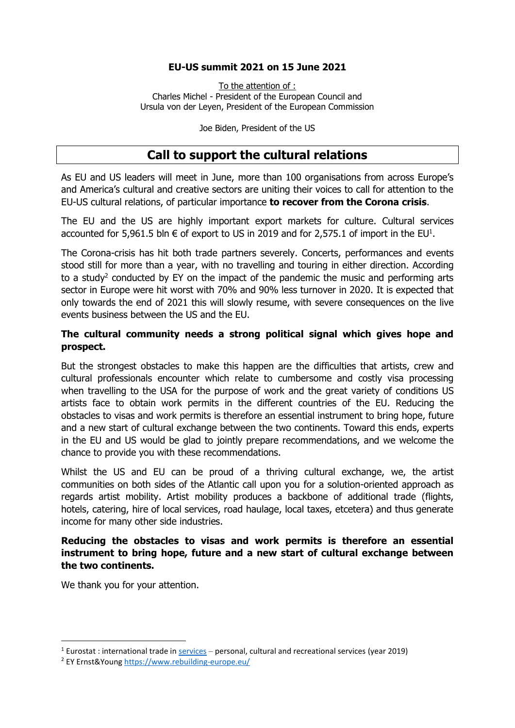## **EU-US summit 2021 on 15 June 2021**

To the attention of : Charles Michel - President of the European Council and Ursula von der Leyen, President of the European Commission

Joe Biden, President of the US

# **Call to support the cultural relations**

As EU and US leaders will meet in June, more than 100 organisations from across Europe's and America's cultural and creative sectors are uniting their voices to call for attention to the EU-US cultural relations, of particular importance **to recover from the Corona crisis**.

The EU and the US are highly important export markets for culture. Cultural services accounted for 5,961.5 bln  $\epsilon$  of export to US in 2019 and for 2,575.1 of import in the EU<sup>1</sup>.

The Corona-crisis has hit both trade partners severely. Concerts, performances and events stood still for more than a year, with no travelling and touring in either direction. According to a study<sup>2</sup> conducted by EY on the impact of the pandemic the music and performing arts sector in Europe were hit worst with 70% and 90% less turnover in 2020. It is expected that only towards the end of 2021 this will slowly resume, with severe consequences on the live events business between the US and the EU.

#### **The cultural community needs a strong political signal which gives hope and prospect.**

But the strongest obstacles to make this happen are the difficulties that artists, crew and cultural professionals encounter which relate to cumbersome and costly visa processing when travelling to the USA for the purpose of work and the great variety of conditions US artists face to obtain work permits in the different countries of the EU. Reducing the obstacles to visas and work permits is therefore an essential instrument to bring hope, future and a new start of cultural exchange between the two continents. Toward this ends, experts in the EU and US would be glad to jointly prepare recommendations, and we welcome the chance to provide you with these recommendations.

Whilst the US and EU can be proud of a thriving cultural exchange, we, the artist communities on both sides of the Atlantic call upon you for a solution-oriented approach as regards artist mobility. Artist mobility produces a backbone of additional trade (flights, hotels, catering, hire of local services, road haulage, local taxes, etcetera) and thus generate income for many other side industries.

## **Reducing the obstacles to visas and work permits is therefore an essential instrument to bring hope, future and a new start of cultural exchange between the two continents.**

We thank you for your attention.

 $1$  Eurostat : international trade in  $\frac{4}{100}$  services – personal, cultural and recreational services (year 2019)

<sup>2</sup> EY Ernst&Young<https://www.rebuilding-europe.eu/>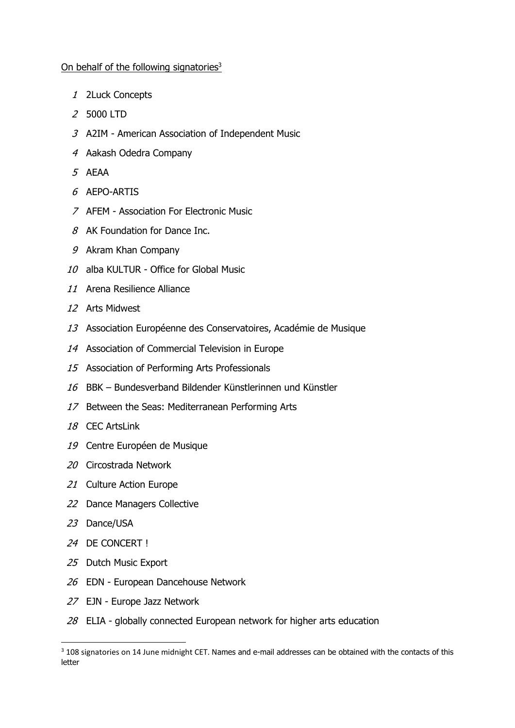#### On behalf of the following signatories<sup>3</sup>

- 2Luck Concepts
- 5000 LTD
- A2IM American Association of Independent Music
- Aakash Odedra Company
- AEAA
- AEPO-ARTIS
- AFEM Association For Electronic Music
- 8 AK Foundation for Dance Inc.
- Akram Khan Company
- alba KULTUR Office for Global Music
- Arena Resilience Alliance
- Arts Midwest
- Association Européenne des Conservatoires, Académie de Musique
- Association of Commercial Television in Europe
- Association of Performing Arts Professionals
- BBK Bundesverband Bildender Künstlerinnen und Künstler
- 17 Between the Seas: Mediterranean Performing Arts
- CEC ArtsLink
- Centre Européen de Musique
- Circostrada Network
- 21 Culture Action Europe
- Dance Managers Collective
- Dance/USA
- DE CONCERT !
- Dutch Music Export
- 26 EDN European Dancehouse Network
- EJN Europe Jazz Network
- ELIA globally connected European network for higher arts education

<sup>&</sup>lt;sup>3</sup> 108 signatories on 14 June midnight CET. Names and e-mail addresses can be obtained with the contacts of this letter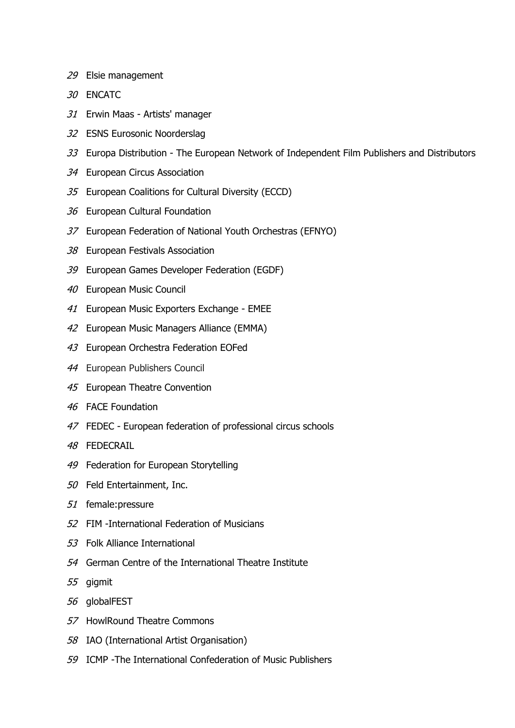- 29 Elsie management
- 30 ENCATC
- 31 Erwin Maas Artists' manager
- 32 ESNS Eurosonic Noorderslag
- 33 Europa Distribution The European Network of Independent Film Publishers and Distributors
- 34 European Circus Association
- 35 European Coalitions for Cultural Diversity (ECCD)
- 36 European Cultural Foundation
- 37 European Federation of National Youth Orchestras (EFNYO)
- 38 European Festivals Association
- 39 European Games Developer Federation (EGDF)
- 40 European Music Council
- 41 European Music Exporters Exchange EMEE
- 42 European Music Managers Alliance (EMMA)
- 43 European Orchestra Federation EOFed
- 44 European Publishers Council
- 45 European Theatre Convention
- 46 FACE Foundation
- 47 FEDEC European federation of professional circus schools
- 48 FEDECRAIL
- 49 Federation for European Storytelling
- 50 Feld Entertainment, Inc.
- 51 female:pressure
- 52 FIM -International Federation of Musicians
- 53 Folk Alliance International
- 54 German Centre of the International Theatre Institute
- 55 gigmit
- 56 globalFEST
- 57 HowlRound Theatre Commons
- 58 IAO (International Artist Organisation)
- 59 ICMP -The International Confederation of Music Publishers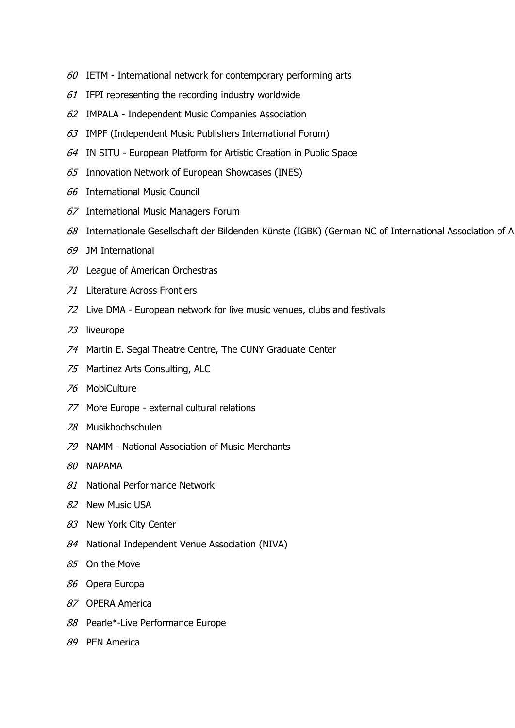- IETM International network for contemporary performing arts
- IFPI representing the recording industry worldwide
- IMPALA Independent Music Companies Association
- IMPF (Independent Music Publishers International Forum)
- IN SITU European Platform for Artistic Creation in Public Space
- Innovation Network of European Showcases (INES)
- International Music Council
- International Music Managers Forum
- 68 Internationale Gesellschaft der Bildenden Künste (IGBK) (German NC of International Association of A
- JM International
- League of American Orchestras
- Literature Across Frontiers
- Live DMA European network for live music venues, clubs and festivals
- liveurope
- Martin E. Segal Theatre Centre, The CUNY Graduate Center
- Martinez Arts Consulting, ALC
- MobiCulture
- More Europe external cultural relations
- Musikhochschulen
- NAMM National Association of Music Merchants
- NAPAMA
- 81 National Performance Network
- New Music USA
- 83 New York City Center
- 84 National Independent Venue Association (NIVA)
- On the Move
- Opera Europa
- OPERA America
- 88 Pearle\*-Live Performance Europe
- PEN America